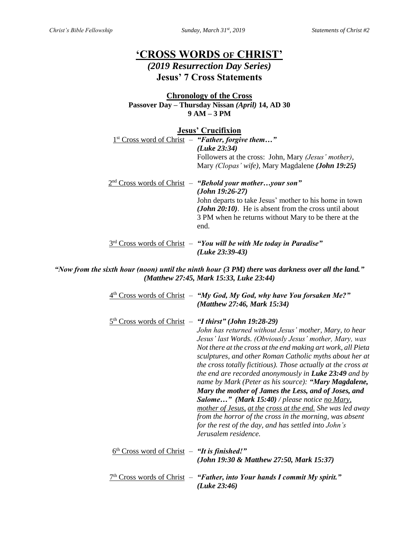# **'CROSS WORDS OF CHRIST'**

## *(2019 Resurrection Day Series)* **Jesus' 7 Cross Statements**

#### **Chronology of the Cross Passover Day – Thursday Nissan** *(April)* **14, AD 30 9 AM – 3 PM**

#### **Jesus' Crucifixion**

| $1st Cross word of Christ – "Father, for give them"$<br>(Luke 23:34)<br>Followers at the cross: John, Mary <i>(Jesus' mother)</i> ,<br>Mary (Clopas' wife), Mary Magdalene (John 19:25)                                                                                     |
|-----------------------------------------------------------------------------------------------------------------------------------------------------------------------------------------------------------------------------------------------------------------------------|
| $2nd Cross words of Christ - "Behold your motheryour son"$<br>$(John 19:26-27)$<br>John departs to take Jesus' mother to his home in town<br>( <i>John 20:10</i> ). He is absent from the cross until about<br>3 PM when he returns without Mary to be there at the<br>end. |
| $3rd$ Cross words of Christ $-$ "You will be with Me today in Paradise"<br>$(Luke 23:39-43)$                                                                                                                                                                                |

*"Now from the sixth hour (noon) until the ninth hour (3 PM) there was darkness over all the land." (Matthew 27:45, Mark 15:33, Luke 23:44)*

|                                                | $4th$ Cross words of Christ $-$ "My God, My God, why have You forsaken Me?"<br>(Matthew 27:46, Mark 15:34)                                                                                                                                                                                                                                                                                                                                                                                                                                                                                                                                                                                                                                                                                                             |
|------------------------------------------------|------------------------------------------------------------------------------------------------------------------------------------------------------------------------------------------------------------------------------------------------------------------------------------------------------------------------------------------------------------------------------------------------------------------------------------------------------------------------------------------------------------------------------------------------------------------------------------------------------------------------------------------------------------------------------------------------------------------------------------------------------------------------------------------------------------------------|
|                                                | Cross words of Christ $-$ "I thirst" (John 19:28-29)<br>John has returned without Jesus' mother, Mary, to hear<br>Jesus' last Words. (Obviously Jesus' mother, Mary, was<br>Not there at the cross at the end making art work, all Pieta<br>sculptures, and other Roman Catholic myths about her at<br>the cross totally fictitious). Those actually at the cross at<br>the end are recorded anonymously in <b>Luke 23:49</b> and by<br>name by Mark (Peter as his source): "Mary Magdalene,<br>Mary the mother of James the Less, and of Joses, and<br><b>Salome</b> " (Mark 15:40) / please notice no Mary,<br>mother of Jesus, at the cross at the end. She was led away<br>from the horror of the cross in the morning, was absent<br>for the rest of the day, and has settled into John's<br>Jerusalem residence. |
| $6th Cross word of Christ – "It is finished!"$ | (John 19:30 & Matthew 27:50, Mark 15:37)                                                                                                                                                                                                                                                                                                                                                                                                                                                                                                                                                                                                                                                                                                                                                                               |
|                                                | Cross words of Christ $-$ "Father, into Your hands I commit My spirit."<br>(Luke 23:46)                                                                                                                                                                                                                                                                                                                                                                                                                                                                                                                                                                                                                                                                                                                                |